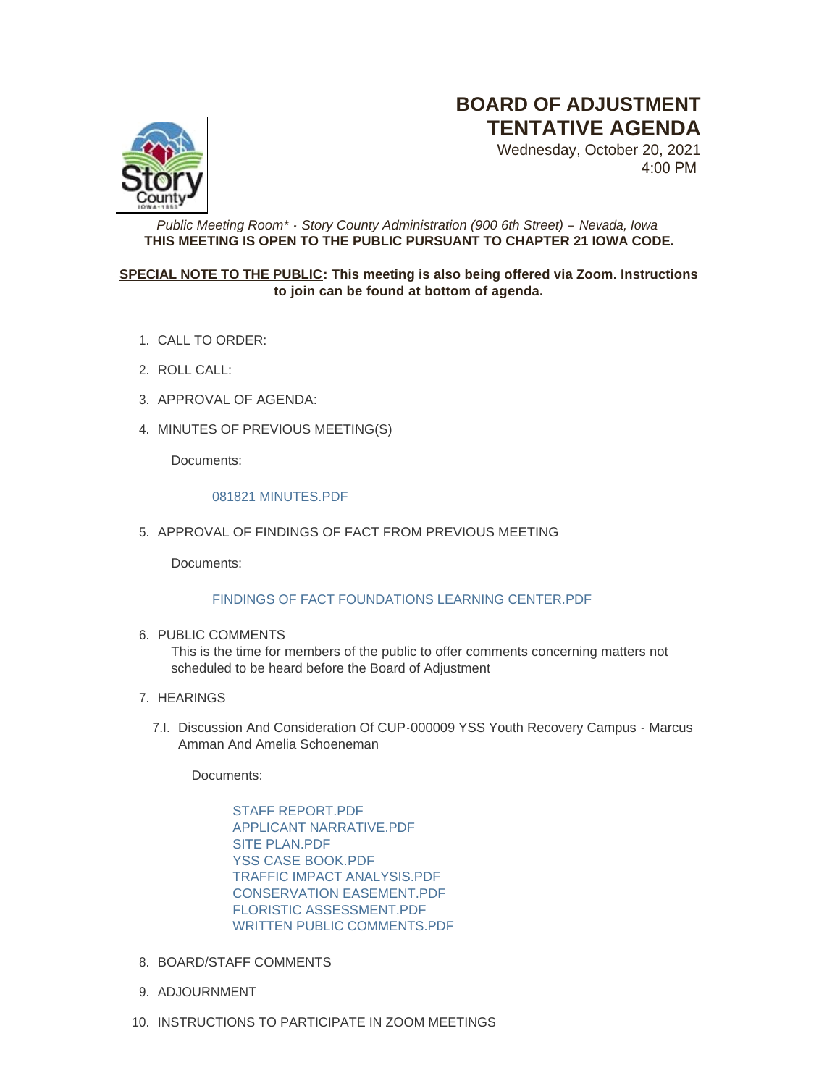## **BOARD OF ADJUSTMENT TENTATIVE AGENDA**



Wednesday, October 20, 2021 4:00 PM

*Public Meeting Room\* - Story County Administration (900 6th Street) – Nevada, Iowa* **THIS MEETING IS OPEN TO THE PUBLIC PURSUANT TO CHAPTER 21 IOWA CODE.**

## **SPECIAL NOTE TO THE PUBLIC: This meeting is also being offered via Zoom. Instructions to join can be found at bottom of agenda.**

- CALL TO ORDER: 1.
- 2. ROLL CALL:
- 3. APPROVAL OF AGENDA:
- 4. MINUTES OF PREVIOUS MEETING(S)

Documents:

## [081821 MINUTES.PDF](http://www.storycountyiowa.gov/AgendaCenter/ViewFile/Item/22423?fileID=17086)

5. APPROVAL OF FINDINGS OF FACT FROM PREVIOUS MEETING

Documents:

## FINDINGS OF FACT FOUNDATIONS LEARNING CENTER PDF

6. PUBLIC COMMENTS

This is the time for members of the public to offer comments concerning matters not scheduled to be heard before the Board of Adjustment

- 7. HEARINGS
	- 7.I. Discussion And Consideration Of CUP-000009 YSS Youth Recovery Campus Marcus Amman And Amelia Schoeneman

Documents:

[STAFF REPORT.PDF](http://www.storycountyiowa.gov/AgendaCenter/ViewFile/Item/22425?fileID=17094) [APPLICANT NARRATIVE.PDF](http://www.storycountyiowa.gov/AgendaCenter/ViewFile/Item/22425?fileID=17101) [SITE PLAN.PDF](http://www.storycountyiowa.gov/AgendaCenter/ViewFile/Item/22425?fileID=17097) [YSS CASE BOOK.PDF](http://www.storycountyiowa.gov/AgendaCenter/ViewFile/Item/22425?fileID=17095) [TRAFFIC IMPACT ANALYSIS.PDF](http://www.storycountyiowa.gov/AgendaCenter/ViewFile/Item/22425?fileID=17096) [CONSERVATION EASEMENT.PDF](http://www.storycountyiowa.gov/AgendaCenter/ViewFile/Item/22425?fileID=17100) FLORISTIC ASSESSMENT PDF [WRITTEN PUBLIC COMMENTS.PDF](http://www.storycountyiowa.gov/AgendaCenter/ViewFile/Item/22425?fileID=17098)

- 8. BOARD/STAFF COMMENTS
- 9. ADJOURNMENT
- 10. INSTRUCTIONS TO PARTICIPATE IN ZOOM MEETINGS